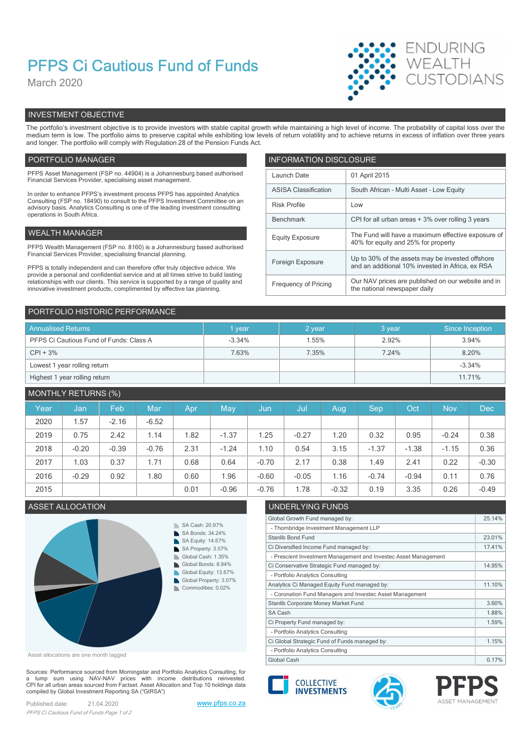# PFPS Ci Cautious Fund of Funds

March 2020



# INVESTMENT OBJECTIVE

The portfolio's investment objective is to provide investors with stable capital growth while maintaining a high level of income. The probability of capital loss over the medium term is low. The portfolio aims to preserve capital while exhibiting low levels of return volatility and to achieve returns in excess of inflation over three years and longer. The portfolio will comply with Regulation 28 of the Pension Funds Act.

## PORTFOLIO MANAGER **INFORMATION DISCLOSURE**

| PFPS Asset Management (FSP no. 44904) is a Johannesburg based authorised<br>Financial Services Provider, specialising asset management.                                | Launch Date                 | 01 April 2015                                                                             |
|------------------------------------------------------------------------------------------------------------------------------------------------------------------------|-----------------------------|-------------------------------------------------------------------------------------------|
| In order to enhance PFPS's investment process PFPS has appointed Analytics                                                                                             | <b>ASISA Classification</b> | South African - Multi Asset - Low Equity                                                  |
| Consulting (FSP no. 18490) to consult to the PFPS Investment Committee on an<br>advisory basis. Analytics Consulting is one of the leading investment consulting       | <b>Risk Profile</b>         | Low                                                                                       |
| operations in South Africa.                                                                                                                                            | Benchmark                   | CPI for all urban areas + 3% over rolling 3 years                                         |
| WEALTH MANAGER                                                                                                                                                         | <b>Equity Exposure</b>      | The Fund will have a maximum effective exposure of<br>40% for equity and 25% for property |
| PFPS Wealth Management (FSP no. 8160) is a Johannesburg based authorised                                                                                               |                             |                                                                                           |
| Financial Services Provider, specialising financial planning.                                                                                                          | Foreign Exposure            | Up to 30% of the assets may be invested offshore                                          |
| PFPS is totally independent and can therefore offer truly objective advice. We<br>provide a personal and confidential service and at all times strive to build lasting |                             | and an additional 10% invested in Africa, ex RSA                                          |
| relationships with our clients. This service is supported by a range of quality and<br>innovative investment products, complimented by effective tax planning.         | Frequency of Pricing        | Our NAV prices are published on our website and in<br>the national newspaper daily        |
|                                                                                                                                                                        |                             |                                                                                           |

| PORTFOLIO HISTORIC PERFORMANCE          |          |        |        |                 |
|-----------------------------------------|----------|--------|--------|-----------------|
| <b>Annualised Returns</b>               | 1 year   | 2 year | 3 year | Since Inception |
| PFPS Ci Cautious Fund of Funds: Class A | $-3.34%$ | 1.55%  | 2.92%  | 3.94%           |
| $CPI + 3%$                              | 7.63%    | 7.35%  | 7.24%  | 8.20%           |
| Lowest 1 year rolling return            |          |        |        | $-3.34%$        |
| Highest 1 year rolling return           |          |        |        | 11.71%          |

# MONTHLY RETURNS (%)

| Year | Jan     | Feb     | Mar     | Apr  | May     | Jun,    | Jul     | Aug.    | <b>Sep</b> | Oct     | <b>Nov</b> | <b>Dec</b> |
|------|---------|---------|---------|------|---------|---------|---------|---------|------------|---------|------------|------------|
| 2020 | .57     | $-2.16$ | $-6.52$ |      |         |         |         |         |            |         |            |            |
| 2019 | 0.75    | 2.42    | 1.14    | .82  | $-1.37$ | 1.25    | $-0.27$ | .20     | 0.32       | 0.95    | $-0.24$    | 0.38       |
| 2018 | $-0.20$ | $-0.39$ | $-0.76$ | 2.31 | $-1.24$ | 1.10    | 0.54    | 3.15    | $-1.37$    | $-1.38$ | $-1.15$    | 0.36       |
| 2017 | 1.03    | 0.37    | 1.71    | 0.68 | 0.64    | $-0.70$ | 2.17    | 0.38    | 1.49       | 2.41    | 0.22       | $-0.30$    |
| 2016 | $-0.29$ | 0.92    | 1.80    | 0.60 | .96     | $-0.60$ | $-0.05$ | 1.16    | $-0.74$    | $-0.94$ | 0.11       | 0.76       |
| 2015 |         |         |         | 0.01 | $-0.96$ | $-0.76$ | .78     | $-0.32$ | 0.19       | 3.35    | 0.26       | $-0.49$    |



Asset allocations are one month lagged

Sources: Performance sourced from Morningstar and Portfolio Analytics Consulting, for a lump sum using NAV-NAV prices with income distributions reinvested.<br>CPI for all urban areas sourced from Factset. Asset Allocation and Top 10 holdings data compiled by Global Investment Reporting SA ("GIRSA")

Published date: 21.04.2020 www.pfps.co.za PFPS Ci Cautious Fund of Funds Page 1 of 2

# ASSET ALLOCATION UNDERLYING FUNDS

| Global Growth Fund managed by:                                  | 25.14% |
|-----------------------------------------------------------------|--------|
| - Thornbridge Investment Management LLP                         |        |
| Stanlib Bond Fund                                               | 23.01% |
| Ci Diversified Income Fund managed by:                          | 17.41% |
| - Prescient Investment Management and Investec Asset Management |        |
| Ci Conservative Strategic Fund managed by:                      | 14.95% |
| - Portfolio Analytics Consulting                                |        |
| Analytics Ci Managed Equity Fund managed by:                    | 11.10% |
| - Coronation Fund Managers and Investec Asset Management        |        |
| Stanlib Corporate Money Market Fund                             | 3.60%  |
| SA Cash                                                         | 1.88%  |
| Ci Property Fund managed by:                                    | 1.59%  |
| - Portfolio Analytics Consulting                                |        |
| Ci Global Strategic Fund of Funds managed by:                   | 1.15%  |
| - Portfolio Analytics Consulting                                |        |
| Global Cash                                                     | 0.17%  |